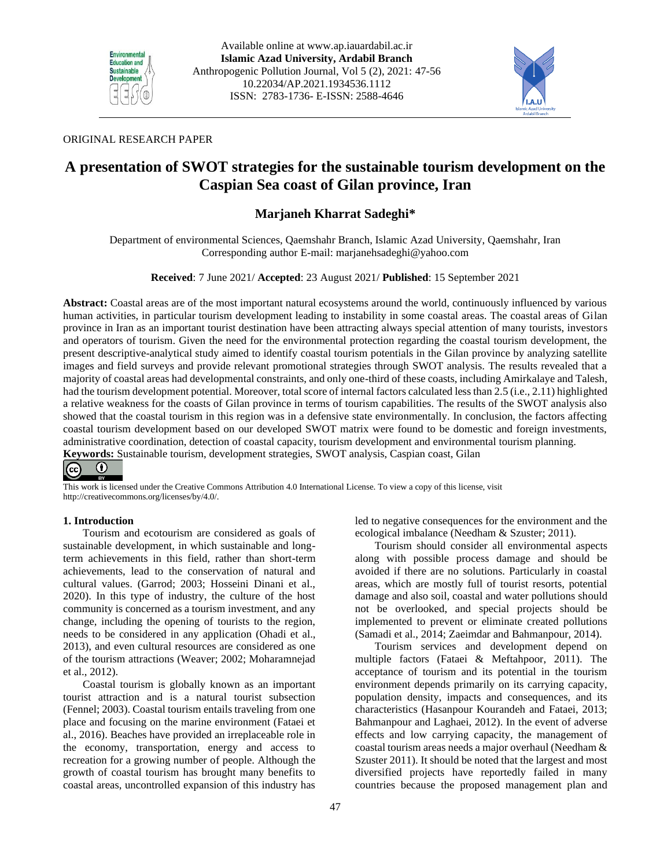



# ORIGINAL RESEARCH PAPER

# **A presentation of SWOT strategies for the sustainable tourism development on the Caspian Sea coast of Gilan province, Iran**

# **[Marjaneh Kharrat Sadeghi\\*](http://ap.iauardabil.ac.ir/?_action=article&au=623125&_au=Marjaneh++Kharrat+Sadeghi)**

Department of environmental Sciences, Qaemshahr Branch, Islamic Azad University, Qaemshahr, Iran Corresponding author E-mail: marjanehsadeghi@yahoo.com

**Received**: 7 June 2021/ **Accepted**: 23 August 2021/ **Published**: 15 September 2021

**Abstract:** Coastal areas are of the most important natural ecosystems around the world, continuously influenced by various human activities, in particular tourism development leading to instability in some coastal areas. The coastal areas of Gilan province in Iran as an important tourist destination have been attracting always special attention of many tourists, investors and operators of tourism. Given the need for the environmental protection regarding the coastal tourism development, the present descriptive-analytical study aimed to identify coastal tourism potentials in the Gilan province by analyzing satellite images and field surveys and provide relevant promotional strategies through SWOT analysis. The results revealed that a majority of coastal areas had developmental constraints, and only one-third of these coasts, including Amirkalaye and Talesh, had the tourism development potential. Moreover, total score of internal factors calculated less than 2.5 (i.e., 2.11) highlighted a relative weakness for the coasts of Gilan province in terms of tourism capabilities. The results of the SWOT analysis also showed that the coastal tourism in this region was in a defensive state environmentally. In conclusion, the factors affecting coastal tourism development based on our developed SWOT matrix were found to be domestic and foreign investments, administrative coordination, detection of coastal capacity, tourism development and environmental tourism planning.

**Keywords:** Sustainable tourism, development strategies, SWOT analysis, Caspian coast, Gilan

#### ⊙  $\left(\mathrm{cc}\right)$

This work is licensed under the Creative Commons Attribution 4.0 International License. To view a copy of this license, visit http://creativecommons.org/licenses/by/4.0/.

# **1. Introduction**

Tourism and ecotourism are considered as goals of sustainable development, in which sustainable and longterm achievements in this field, rather than short-term achievements, lead to the conservation of natural and cultural values. (Garrod; 2003; Hosseini Dinani et al., 2020). In this type of industry, the culture of the host community is concerned as a tourism investment, and any change, including the opening of tourists to the region, needs to be considered in any application (Ohadi et al., 2013), and even cultural resources are considered as one of the tourism attractions (Weaver; 2002; Moharamnejad et al., 2012).

Coastal tourism is globally known as an important tourist attraction and is a natural tourist subsection (Fennel; 2003). Coastal tourism entails traveling from one place and focusing on the marine environment (Fataei et al., 2016). Beaches have provided an irreplaceable role in the economy, transportation, energy and access to recreation for a growing number of people. Although the growth of coastal tourism has brought many benefits to coastal areas, uncontrolled expansion of this industry has led to negative consequences for the environment and the ecological imbalance (Needham & Szuster; 2011).

Tourism should consider all environmental aspects along with possible process damage and should be avoided if there are no solutions. Particularly in coastal areas, which are mostly full of tourist resorts, potential damage and also soil, coastal and water pollutions should not be overlooked, and special projects should be implemented to prevent or eliminate created pollutions (Samadi et al., 2014; Zaeimdar and Bahmanpour, 2014).

Tourism services and development depend on multiple factors (Fataei & Meftahpoor, 2011). The acceptance of tourism and its potential in the tourism environment depends primarily on its carrying capacity, population density, impacts and consequences, and its characteristics (Hasanpour Kourandeh and Fataei, 2013; Bahmanpour and Laghaei, 2012). In the event of adverse effects and low carrying capacity, the management of coastal tourism areas needs a major overhaul (Needham & Szuster 2011). It should be noted that the largest and most diversified projects have reportedly failed in many countries because the proposed management plan and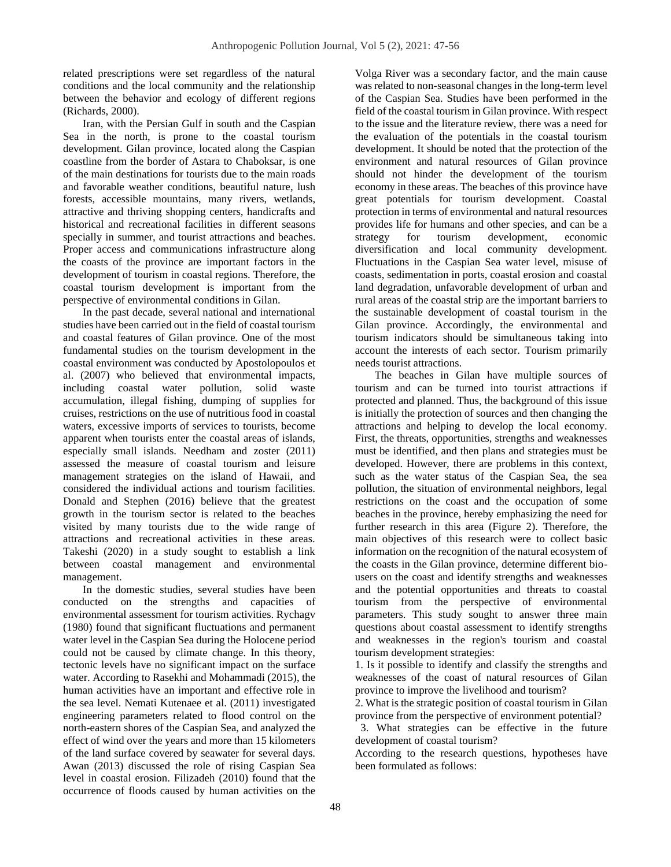related prescriptions were set regardless of the natural conditions and the local community and the relationship between the behavior and ecology of different regions (Richards, 2000).

Iran, with the Persian Gulf in south and the Caspian Sea in the north, is prone to the coastal tourism development. Gilan province, located along the Caspian coastline from the border of Astara to Chaboksar, is one of the main destinations for tourists due to the main roads and favorable weather conditions, beautiful nature, lush forests, accessible mountains, many rivers, wetlands, attractive and thriving shopping centers, handicrafts and historical and recreational facilities in different seasons specially in summer, and tourist attractions and beaches. Proper access and communications infrastructure along the coasts of the province are important factors in the development of tourism in coastal regions. Therefore, the coastal tourism development is important from the perspective of environmental conditions in Gilan.

In the past decade, several national and international studies have been carried out in the field of coastal tourism and coastal features of Gilan province. One of the most fundamental studies on the tourism development in the coastal environment was conducted by Apostolopoulos et al. (2007) who believed that environmental impacts, including coastal water pollution, solid waste accumulation, illegal fishing, dumping of supplies for cruises, restrictions on the use of nutritious food in coastal waters, excessive imports of services to tourists, become apparent when tourists enter the coastal areas of islands, especially small islands. Needham and zoster (2011) assessed the measure of coastal tourism and leisure management strategies on the island of Hawaii, and considered the individual actions and tourism facilities. Donald and Stephen (2016) believe that the greatest growth in the tourism sector is related to the beaches visited by many tourists due to the wide range of attractions and recreational activities in these areas. Takeshi (2020) in a study sought to establish a link between coastal management and environmental management.

In the domestic studies, several studies have been conducted on the strengths and capacities of environmental assessment for tourism activities. Rychagv (1980) found that significant fluctuations and permanent water level in the Caspian Sea during the Holocene period could not be caused by climate change. In this theory, tectonic levels have no significant impact on the surface water. According to Rasekhi and Mohammadi (2015), the human activities have an important and effective role in the sea level. Nemati Kutenaee et al. (2011) investigated engineering parameters related to flood control on the north-eastern shores of the Caspian Sea, and analyzed the effect of wind over the years and more than 15 kilometers of the land surface covered by seawater for several days. Awan (2013) discussed the role of rising Caspian Sea level in coastal erosion. Filizadeh (2010) found that the occurrence of floods caused by human activities on the

Volga River was a secondary factor, and the main cause was related to non-seasonal changes in the long-term level of the Caspian Sea. Studies have been performed in the field of the coastal tourism in Gilan province. With respect to the issue and the literature review, there was a need for the evaluation of the potentials in the coastal tourism development. It should be noted that the protection of the environment and natural resources of Gilan province should not hinder the development of the tourism economy in these areas. The beaches of this province have great potentials for tourism development. Coastal protection in terms of environmental and natural resources provides life for humans and other species, and can be a strategy for tourism development, economic diversification and local community development. Fluctuations in the Caspian Sea water level, misuse of coasts, sedimentation in ports, coastal erosion and coastal land degradation, unfavorable development of urban and rural areas of the coastal strip are the important barriers to the sustainable development of coastal tourism in the Gilan province. Accordingly, the environmental and tourism indicators should be simultaneous taking into account the interests of each sector. Tourism primarily needs tourist attractions.

The beaches in Gilan have multiple sources of tourism and can be turned into tourist attractions if protected and planned. Thus, the background of this issue is initially the protection of sources and then changing the attractions and helping to develop the local economy. First, the threats, opportunities, strengths and weaknesses must be identified, and then plans and strategies must be developed. However, there are problems in this context, such as the water status of the Caspian Sea, the sea pollution, the situation of environmental neighbors, legal restrictions on the coast and the occupation of some beaches in the province, hereby emphasizing the need for further research in this area (Figure 2). Therefore, the main objectives of this research were to collect basic information on the recognition of the natural ecosystem of the coasts in the Gilan province, determine different biousers on the coast and identify strengths and weaknesses and the potential opportunities and threats to coastal tourism from the perspective of environmental parameters. This study sought to answer three main questions about coastal assessment to identify strengths and weaknesses in the region's tourism and coastal tourism development strategies:

1. Is it possible to identify and classify the strengths and weaknesses of the coast of natural resources of Gilan province to improve the livelihood and tourism?

2. What is the strategic position of coastal tourism in Gilan province from the perspective of environment potential?

 3. What strategies can be effective in the future development of coastal tourism?

According to the research questions, hypotheses have been formulated as follows: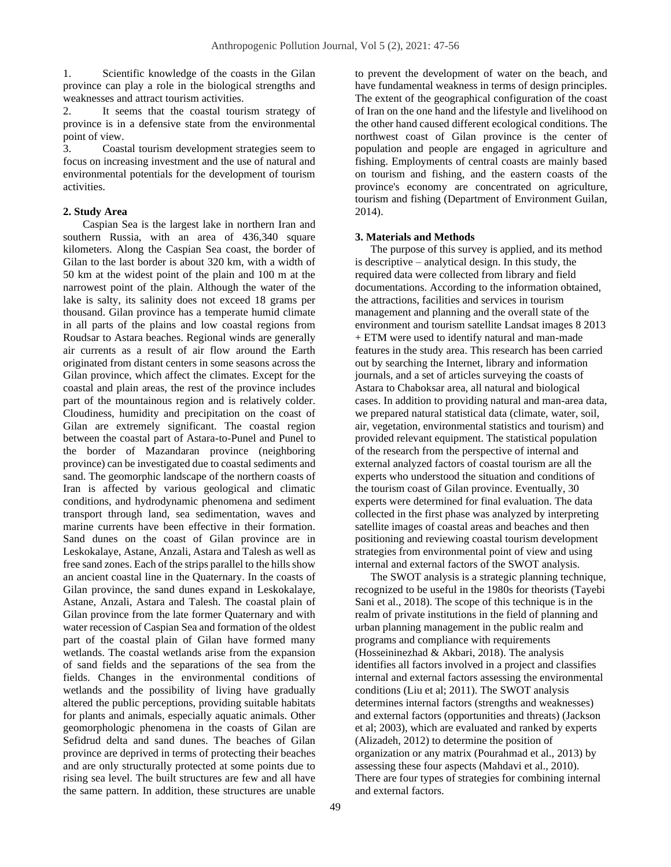1. Scientific knowledge of the coasts in the Gilan province can play a role in the biological strengths and weaknesses and attract tourism activities.

2. It seems that the coastal tourism strategy of province is in a defensive state from the environmental point of view.

3. Coastal tourism development strategies seem to focus on increasing investment and the use of natural and environmental potentials for the development of tourism activities.

# **2. Study Area**

Caspian Sea is the largest lake in northern Iran and southern Russia, with an area of 436,340 square kilometers. Along the Caspian Sea coast, the border of Gilan to the last border is about 320 km, with a width of 50 km at the widest point of the plain and 100 m at the narrowest point of the plain. Although the water of the lake is salty, its salinity does not exceed 18 grams per thousand. Gilan province has a temperate humid climate in all parts of the plains and low coastal regions from Roudsar to Astara beaches. Regional winds are generally air currents as a result of air flow around the Earth originated from distant centers in some seasons across the Gilan province, which affect the climates. Except for the coastal and plain areas, the rest of the province includes part of the mountainous region and is relatively colder. Cloudiness, humidity and precipitation on the coast of Gilan are extremely significant. The coastal region between the coastal part of Astara-to-Punel and Punel to the border of Mazandaran province (neighboring province) can be investigated due to coastal sediments and sand. The geomorphic landscape of the northern coasts of Iran is affected by various geological and climatic conditions, and hydrodynamic phenomena and sediment transport through land, sea sedimentation, waves and marine currents have been effective in their formation. Sand dunes on the coast of Gilan province are in Leskokalaye, Astane, Anzali, Astara and Talesh as well as free sand zones. Each of the strips parallel to the hills show an ancient coastal line in the Quaternary. In the coasts of Gilan province, the sand dunes expand in Leskokalaye, Astane, Anzali, Astara and Talesh. The coastal plain of Gilan province from the late former Quaternary and with water recession of Caspian Sea and formation of the oldest part of the coastal plain of Gilan have formed many wetlands. The coastal wetlands arise from the expansion of sand fields and the separations of the sea from the fields. Changes in the environmental conditions of wetlands and the possibility of living have gradually altered the public perceptions, providing suitable habitats for plants and animals, especially aquatic animals. Other geomorphologic phenomena in the coasts of Gilan are Sefidrud delta and sand dunes. The beaches of Gilan province are deprived in terms of protecting their beaches and are only structurally protected at some points due to rising sea level. The built structures are few and all have the same pattern. In addition, these structures are unable

to prevent the development of water on the beach, and have fundamental weakness in terms of design principles. The extent of the geographical configuration of the coast of Iran on the one hand and the lifestyle and livelihood on the other hand caused different ecological conditions. The northwest coast of Gilan province is the center of population and people are engaged in agriculture and fishing. Employments of central coasts are mainly based on tourism and fishing, and the eastern coasts of the province's economy are concentrated on agriculture, tourism and fishing (Department of Environment Guilan, 2014).

### **3. Materials and Methods**

The purpose of this survey is applied, and its method is descriptive – analytical design. In this study, the required data were collected from library and field documentations. According to the information obtained, the attractions, facilities and services in tourism management and planning and the overall state of the environment and tourism satellite Landsat images 8 2013 + ETM were used to identify natural and man-made features in the study area. This research has been carried out by searching the Internet, library and information journals, and a set of articles surveying the coasts of Astara to Chaboksar area, all natural and biological cases. In addition to providing natural and man-area data, we prepared natural statistical data (climate, water, soil, air, vegetation, environmental statistics and tourism) and provided relevant equipment. The statistical population of the research from the perspective of internal and external analyzed factors of coastal tourism are all the experts who understood the situation and conditions of the tourism coast of Gilan province. Eventually, 30 experts were determined for final evaluation. The data collected in the first phase was analyzed by interpreting satellite images of coastal areas and beaches and then positioning and reviewing coastal tourism development strategies from environmental point of view and using internal and external factors of the SWOT analysis.

The SWOT analysis is a strategic planning technique, recognized to be useful in the 1980s for theorists (Tayebi Sani et al., 2018). The scope of this technique is in the realm of private institutions in the field of planning and urban planning management in the public realm and programs and compliance with requirements (Hosseininezhad & Akbari, 2018). The analysis identifies all factors involved in a project and classifies internal and external factors assessing the environmental conditions (Liu et al; 2011). The SWOT analysis determines internal factors (strengths and weaknesses) and external factors (opportunities and threats) (Jackson et al; 2003), which are evaluated and ranked by experts (Alizadeh, 2012) to determine the position of organization or any matrix (Pourahmad et al., 2013) by assessing these four aspects (Mahdavi et al., 2010). There are four types of strategies for combining internal and external factors.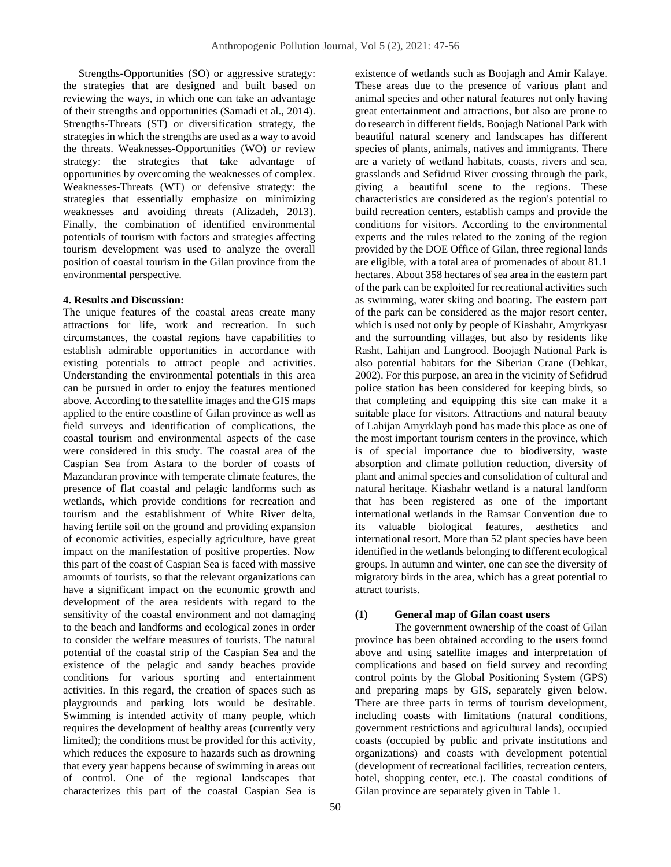Strengths-Opportunities (SO) or aggressive strategy: the strategies that are designed and built based on reviewing the ways, in which one can take an advantage of their strengths and opportunities (Samadi et al., 2014). Strengths-Threats (ST) or diversification strategy, the strategies in which the strengths are used as a way to avoid the threats. Weaknesses-Opportunities (WO) or review strategy: the strategies that take advantage of opportunities by overcoming the weaknesses of complex. Weaknesses-Threats (WT) or defensive strategy: the strategies that essentially emphasize on minimizing weaknesses and avoiding threats (Alizadeh, 2013). Finally, the combination of identified environmental potentials of tourism with factors and strategies affecting tourism development was used to analyze the overall position of coastal tourism in the Gilan province from the environmental perspective.

### **4. Results and Discussion:**

The unique features of the coastal areas create many attractions for life, work and recreation. In such circumstances, the coastal regions have capabilities to establish admirable opportunities in accordance with existing potentials to attract people and activities. Understanding the environmental potentials in this area can be pursued in order to enjoy the features mentioned above. According to the satellite images and the GIS maps applied to the entire coastline of Gilan province as well as field surveys and identification of complications, the coastal tourism and environmental aspects of the case were considered in this study. The coastal area of the Caspian Sea from Astara to the border of coasts of Mazandaran province with temperate climate features, the presence of flat coastal and pelagic landforms such as wetlands, which provide conditions for recreation and tourism and the establishment of White River delta, having fertile soil on the ground and providing expansion of economic activities, especially agriculture, have great impact on the manifestation of positive properties. Now this part of the coast of Caspian Sea is faced with massive amounts of tourists, so that the relevant organizations can have a significant impact on the economic growth and development of the area residents with regard to the sensitivity of the coastal environment and not damaging to the beach and landforms and ecological zones in order to consider the welfare measures of tourists. The natural potential of the coastal strip of the Caspian Sea and the existence of the pelagic and sandy beaches provide conditions for various sporting and entertainment activities. In this regard, the creation of spaces such as playgrounds and parking lots would be desirable. Swimming is intended activity of many people, which requires the development of healthy areas (currently very limited); the conditions must be provided for this activity, which reduces the exposure to hazards such as drowning that every year happens because of swimming in areas out of control. One of the regional landscapes that characterizes this part of the coastal Caspian Sea is

existence of wetlands such as Boojagh and Amir Kalaye. These areas due to the presence of various plant and animal species and other natural features not only having great entertainment and attractions, but also are prone to do research in different fields. Boojagh National Park with beautiful natural scenery and landscapes has different species of plants, animals, natives and immigrants. There are a variety of wetland habitats, coasts, rivers and sea, grasslands and Sefidrud River crossing through the park, giving a beautiful scene to the regions. These characteristics are considered as the region's potential to build recreation centers, establish camps and provide the conditions for visitors. According to the environmental experts and the rules related to the zoning of the region provided by the DOE Office of Gilan, three regional lands are eligible, with a total area of promenades of about 81.1 hectares. About 358 hectares of sea area in the eastern part of the park can be exploited for recreational activities such as swimming, water skiing and boating. The eastern part of the park can be considered as the major resort center, which is used not only by people of Kiashahr, Amyrkyasr and the surrounding villages, but also by residents like Rasht, Lahijan and Langrood. Boojagh National Park is also potential habitats for the Siberian Crane (Dehkar, 2002). For this purpose, an area in the vicinity of Sefidrud police station has been considered for keeping birds, so that completing and equipping this site can make it a suitable place for visitors. Attractions and natural beauty of Lahijan Amyrklayh pond has made this place as one of the most important tourism centers in the province, which is of special importance due to biodiversity, waste absorption and climate pollution reduction, diversity of plant and animal species and consolidation of cultural and natural heritage. Kiashahr wetland is a natural landform that has been registered as one of the important international wetlands in the Ramsar Convention due to its valuable biological features, aesthetics and international resort. More than 52 plant species have been identified in the wetlands belonging to different ecological groups. In autumn and winter, one can see the diversity of migratory birds in the area, which has a great potential to attract tourists.

# **(1) General map of Gilan coast users**

The government ownership of the coast of Gilan province has been obtained according to the users found above and using satellite images and interpretation of complications and based on field survey and recording control points by the Global Positioning System (GPS) and preparing maps by GIS, separately given below. There are three parts in terms of tourism development, including coasts with limitations (natural conditions, government restrictions and agricultural lands), occupied coasts (occupied by public and private institutions and organizations) and coasts with development potential (development of recreational facilities, recreation centers, hotel, shopping center, etc.). The coastal conditions of Gilan province are separately given in Table 1.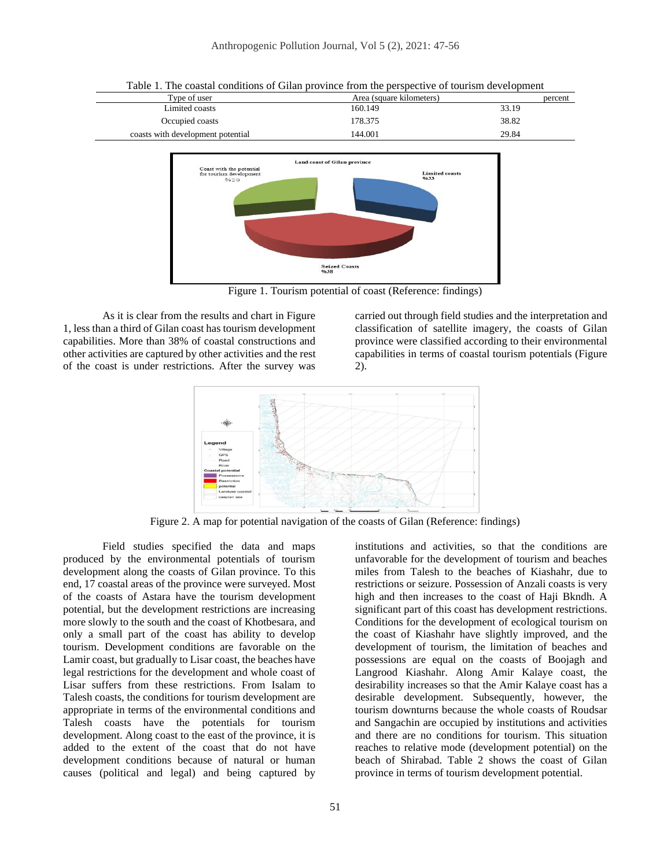

Figure 1. Tourism potential of coast (Reference: findings)

As it is clear from the results and chart in Figure 1, less than a third of Gilan coast has tourism development capabilities. More than 38% of coastal constructions and other activities are captured by other activities and the rest of the coast is under restrictions. After the survey was

carried out through field studies and the interpretation and classification of satellite imagery, the coasts of Gilan province were classified according to their environmental capabilities in terms of coastal tourism potentials (Figure 2).

institutions and activities, so that the conditions are unfavorable for the development of tourism and beaches miles from Talesh to the beaches of Kiashahr, due to restrictions or seizure. Possession of Anzali coasts is very high and then increases to the coast of Haji Bkndh. A



Figure 2. A map for potential navigation of the coasts of Gilan (Reference: findings)

Field studies specified the data and maps produced by the environmental potentials of tourism development along the coasts of Gilan province. To this end, 17 coastal areas of the province were surveyed. Most of the coasts of Astara have the tourism development potential, but the development restrictions are increasing more slowly to the south and the coast of Khotbesara, and only a small part of the coast has ability to develop tourism. Development conditions are favorable on the Lamir coast, but gradually to Lisar coast, the beaches have legal restrictions for the development and whole coast of Lisar suffers from these restrictions. From Isalam to Talesh coasts, the conditions for tourism development are appropriate in terms of the environmental conditions and Talesh coasts have the potentials for tourism development. Along coast to the east of the province, it is added to the extent of the coast that do not have development conditions because of natural or human causes (political and legal) and being captured by

significant part of this coast has development restrictions. Conditions for the development of ecological tourism on the coast of Kiashahr have slightly improved, and the development of tourism, the limitation of beaches and possessions are equal on the coasts of Boojagh and Langrood Kiashahr. Along Amir Kalaye coast, the desirability increases so that the Amir Kalaye coast has a desirable development. Subsequently, however, the tourism downturns because the whole coasts of Roudsar and Sangachin are occupied by institutions and activities and there are no conditions for tourism. This situation reaches to relative mode (development potential) on the beach of Shirabad. Table 2 shows the coast of Gilan province in terms of tourism development potential.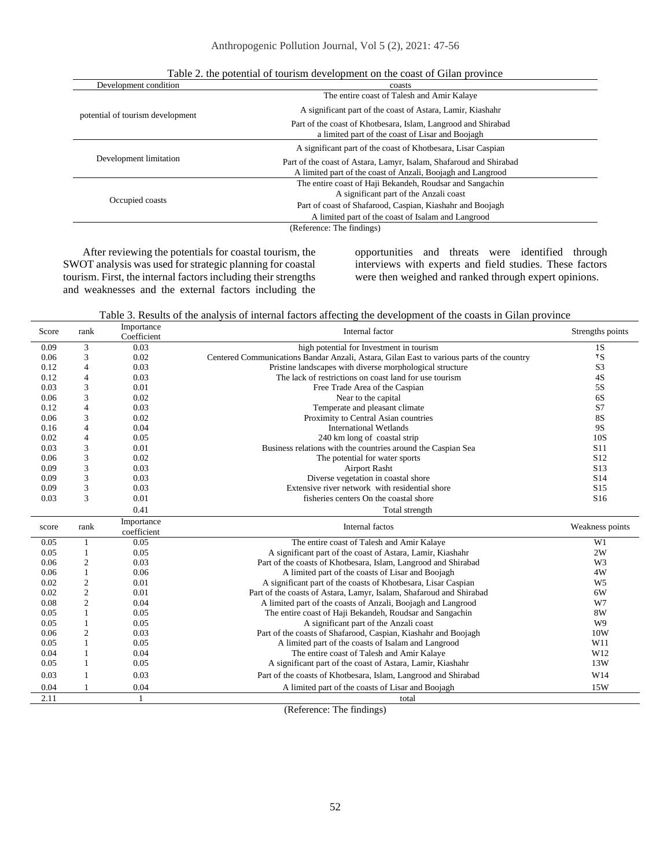| coasts                                                                                                                            |  |
|-----------------------------------------------------------------------------------------------------------------------------------|--|
| The entire coast of Talesh and Amir Kalaye                                                                                        |  |
| A significant part of the coast of Astara, Lamir, Kiashahr                                                                        |  |
| Part of the coast of Khotbesara, Islam, Langrood and Shirabad<br>a limited part of the coast of Lisar and Boojagh                 |  |
| A significant part of the coast of Khotbesara, Lisar Caspian                                                                      |  |
| Part of the coast of Astara, Lamyr, Isalam, Shafaroud and Shirabad<br>A limited part of the coast of Anzali, Boojagh and Langrood |  |
| The entire coast of Haji Bekandeh, Roudsar and Sangachin                                                                          |  |
| A significant part of the Anzali coast                                                                                            |  |
| Part of coast of Shafarood, Caspian, Kiashahr and Boojagh                                                                         |  |
| A limited part of the coast of Isalam and Langrood                                                                                |  |
| (Reference: The findings)                                                                                                         |  |
|                                                                                                                                   |  |

Table 2. the potential of tourism development on the coast of Gilan province

After reviewing the potentials for coastal tourism, the SWOT analysis was used for strategic planning for coastal tourism. First, the internal factors including their strengths and weaknesses and the external factors including the opportunities and threats were identified through interviews with experts and field studies. These factors were then weighed and ranked through expert opinions.

Table 3. Results of the analysis of internal factors affecting the development of the coasts in Gilan province

| Score | rank           | Importance<br>Coefficient | Internal factor                                                                           | Strengths points |
|-------|----------------|---------------------------|-------------------------------------------------------------------------------------------|------------------|
| 0.09  | 3              | 0.03                      | high potential for Investment in tourism                                                  | 1S               |
| 0.06  | 3              | 0.02                      | Centered Communications Bandar Anzali, Astara, Gilan East to various parts of the country | $5^{\circ}$      |
| 0.12  | $\overline{4}$ | 0.03                      | Pristine landscapes with diverse morphological structure                                  | S <sub>3</sub>   |
| 0.12  | 4              | 0.03                      | The lack of restrictions on coast land for use tourism                                    | 4S               |
| 0.03  | 3              | 0.01                      | Free Trade Area of the Caspian                                                            | 5S               |
| 0.06  | 3              | 0.02                      | Near to the capital                                                                       | 6S               |
| 0.12  | 4              | 0.03                      | Temperate and pleasant climate                                                            | S7               |
| 0.06  | 3              | 0.02                      | Proximity to Central Asian countries                                                      | <b>8S</b>        |
| 0.16  | $\overline{4}$ | 0.04                      | <b>International Wetlands</b>                                                             | <b>9S</b>        |
| 0.02  | 4              | 0.05                      | 240 km long of coastal strip                                                              | 10S              |
| 0.03  | 3              | 0.01                      | Business relations with the countries around the Caspian Sea                              | S <sub>11</sub>  |
| 0.06  | 3              | 0.02                      | The potential for water sports                                                            | S <sub>12</sub>  |
| 0.09  | 3              | 0.03                      | <b>Airport Rasht</b>                                                                      | S <sub>13</sub>  |
| 0.09  | 3              | 0.03                      | Diverse vegetation in coastal shore                                                       | S14              |
| 0.09  | 3              | 0.03                      | Extensive river network with residential shore                                            | S <sub>15</sub>  |
| 0.03  | 3              | 0.01                      | fisheries centers On the coastal shore                                                    | S <sub>16</sub>  |
|       |                | 0.41                      | Total strength                                                                            |                  |
| score | rank           | Importance<br>coefficient | Internal factos                                                                           | Weakness points  |
| 0.05  | 1              | 0.05                      | The entire coast of Talesh and Amir Kalaye                                                | W1               |
| 0.05  | 1              | 0.05                      | A significant part of the coast of Astara, Lamir, Kiashahr                                | 2W               |
| 0.06  | $\overline{c}$ | 0.03                      | Part of the coasts of Khotbesara, Islam, Langrood and Shirabad                            | W <sub>3</sub>   |
| 0.06  | $\mathbf{1}$   | 0.06                      | A limited part of the coasts of Lisar and Boojagh                                         | 4W               |
| 0.02  | $\mathbf{2}$   | 0.01                      | A significant part of the coasts of Khotbesara, Lisar Caspian                             | W <sub>5</sub>   |
| 0.02  | $\overline{c}$ | 0.01                      | Part of the coasts of Astara, Lamyr, Isalam, Shafaroud and Shirabad                       | 6W               |
| 0.08  | $\overline{c}$ | 0.04                      | A limited part of the coasts of Anzali, Boojagh and Langrood                              | W7               |
| 0.05  | 1              | 0.05                      | The entire coast of Haji Bekandeh, Roudsar and Sangachin                                  | 8W               |
| 0.05  | 1              | 0.05                      | A significant part of the Anzali coast                                                    | W9               |
| 0.06  | 2              | 0.03                      | Part of the coasts of Shafarood, Caspian, Kiashahr and Boojagh                            | 10W              |
| 0.05  | 1              | 0.05                      | A limited part of the coasts of Isalam and Langrood                                       | W11              |
| 0.04  |                | 0.04                      | The entire coast of Talesh and Amir Kalaye                                                | W12              |
| 0.05  | 1              | 0.05                      | A significant part of the coast of Astara, Lamir, Kiashahr                                | 13W              |
| 0.03  | 1              | 0.03                      | Part of the coasts of Khotbesara, Islam, Langrood and Shirabad                            | W14              |
| 0.04  |                |                           |                                                                                           | 15W              |
| 2.11  |                | 0.04                      | A limited part of the coasts of Lisar and Boojagh                                         |                  |

(Reference: The findings)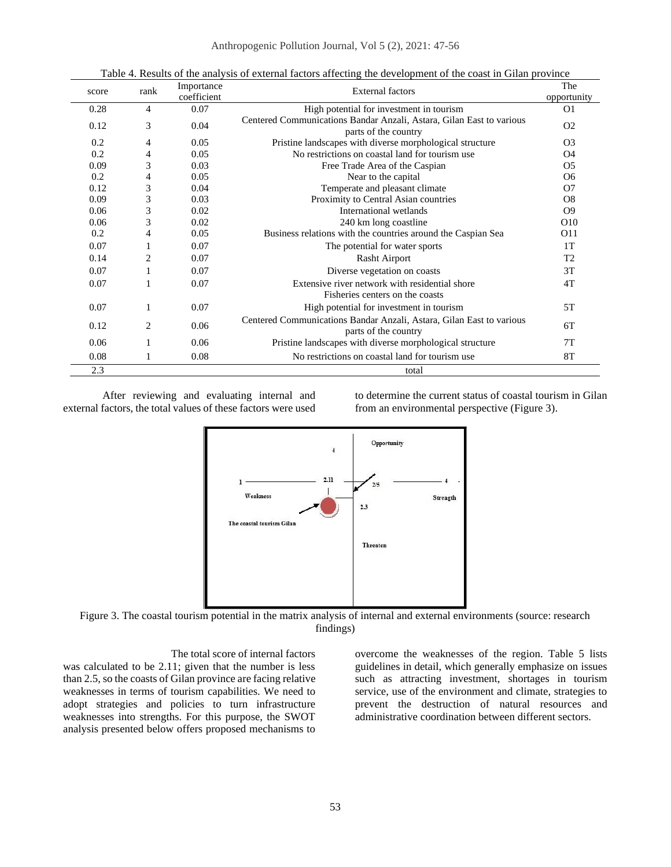Anthropogenic Pollution Journal, Vol 5 (2), 2021: 47-56

| score | rank           | Importance<br>coefficient | <b>External factors</b>                                                                      | The             |
|-------|----------------|---------------------------|----------------------------------------------------------------------------------------------|-----------------|
|       |                |                           |                                                                                              | opportunity     |
| 0.28  | 4              | 0.07                      | High potential for investment in tourism                                                     | O <sub>1</sub>  |
| 0.12  | 3              | 0.04                      | Centered Communications Bandar Anzali, Astara, Gilan East to various<br>parts of the country | O <sub>2</sub>  |
| 0.2   | 4              | 0.05                      | Pristine landscapes with diverse morphological structure                                     | O <sub>3</sub>  |
| 0.2   | 4              | 0.05                      | No restrictions on coastal land for tourism use.                                             | O <sub>4</sub>  |
| 0.09  | 3              | 0.03                      | Free Trade Area of the Caspian                                                               | O <sub>5</sub>  |
| 0.2   | 4              | 0.05                      | Near to the capital                                                                          | O <sub>6</sub>  |
| 0.12  | 3              | 0.04                      | Temperate and pleasant climate                                                               | O7              |
| 0.09  | 3              | 0.03                      | Proximity to Central Asian countries                                                         | O <sub>8</sub>  |
| 0.06  | 3              | 0.02                      | International wetlands                                                                       | O <sub>9</sub>  |
| 0.06  | 3              | 0.02                      | 240 km long coastline                                                                        | O <sub>10</sub> |
| 0.2   | 4              | 0.05                      | Business relations with the countries around the Caspian Sea                                 | O <sub>11</sub> |
| 0.07  | 1              | 0.07                      | The potential for water sports                                                               | 1T              |
| 0.14  | $\overline{2}$ | 0.07                      | Rasht Airport                                                                                | T <sub>2</sub>  |
| 0.07  |                | 0.07                      | Diverse vegetation on coasts                                                                 | 3T              |
| 0.07  |                | 0.07                      | Extensive river network with residential shore<br>Fisheries centers on the coasts            | 4T              |
| 0.07  | 1              | 0.07                      | High potential for investment in tourism                                                     | 5T              |
| 0.12  | 2              | 0.06                      | Centered Communications Bandar Anzali, Astara, Gilan East to various<br>parts of the country | 6T              |
| 0.06  |                | 0.06                      | Pristine landscapes with diverse morphological structure                                     | 7T              |
| 0.08  |                | 0.08                      | No restrictions on coastal land for tourism use.                                             | 8T              |
| 2.3   |                |                           | total                                                                                        |                 |

Table 4. Results of the analysis of external factors affecting the development of the coast in Gilan province

After reviewing and evaluating internal and external factors, the total values of these factors were used to determine the current status of coastal tourism in Gilan from an environmental perspective (Figure 3).



Figure 3. The coastal tourism potential in the matrix analysis of internal and external environments (source: research findings)

The total score of internal factors was calculated to be 2.11; given that the number is less than 2.5, so the coasts of Gilan province are facing relative weaknesses in terms of tourism capabilities. We need to adopt strategies and policies to turn infrastructure weaknesses into strengths. For this purpose, the SWOT analysis presented below offers proposed mechanisms to

overcome the weaknesses of the region. Table 5 lists guidelines in detail, which generally emphasize on issues such as attracting investment, shortages in tourism service, use of the environment and climate, strategies to prevent the destruction of natural resources and administrative coordination between different sectors.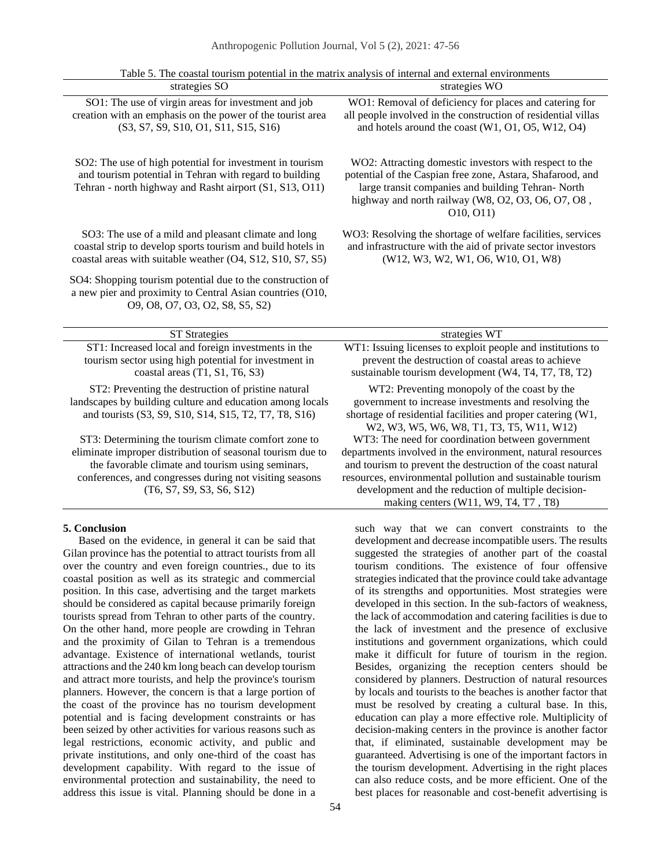| strategies SO                                                                                                                                                                                                                                                   | owan committed potential in the material analysis of meeting and entering environments<br>strategies WO                                                                                                                                                                                             |
|-----------------------------------------------------------------------------------------------------------------------------------------------------------------------------------------------------------------------------------------------------------------|-----------------------------------------------------------------------------------------------------------------------------------------------------------------------------------------------------------------------------------------------------------------------------------------------------|
| SO1: The use of virgin areas for investment and job<br>creation with an emphasis on the power of the tourist area<br>(S3, S7, S9, S10, O1, S11, S15, S16)                                                                                                       | WO1: Removal of deficiency for places and catering for<br>all people involved in the construction of residential villas<br>and hotels around the coast (W1, O1, O5, W12, O4)                                                                                                                        |
| SO2: The use of high potential for investment in tourism<br>and tourism potential in Tehran with regard to building<br>Tehran - north highway and Rasht airport (S1, S13, O11)                                                                                  | WO2: Attracting domestic investors with respect to the<br>potential of the Caspian free zone, Astara, Shafarood, and<br>large transit companies and building Tehran- North<br>highway and north railway (W8, O2, O3, O6, O7, O8,<br>O(10, O(1))                                                     |
| SO3: The use of a mild and pleasant climate and long<br>coastal strip to develop sports tourism and build hotels in<br>coastal areas with suitable weather (O4, S12, S10, S7, S5)                                                                               | WO3: Resolving the shortage of welfare facilities, services<br>and infrastructure with the aid of private sector investors<br>(W12, W3, W2, W1, O6, W10, O1, W8)                                                                                                                                    |
| SO4: Shopping tourism potential due to the construction of<br>a new pier and proximity to Central Asian countries (O10,<br>09, 08, 07, 03, 02, S8, S5, S2)                                                                                                      |                                                                                                                                                                                                                                                                                                     |
| <b>ST</b> Strategies                                                                                                                                                                                                                                            | strategies WT                                                                                                                                                                                                                                                                                       |
| ST1: Increased local and foreign investments in the<br>tourism sector using high potential for investment in<br>coastal areas $(T1, S1, T6, S3)$                                                                                                                | WT1: Issuing licenses to exploit people and institutions to<br>prevent the destruction of coastal areas to achieve<br>sustainable tourism development (W4, T4, T7, T8, T2)                                                                                                                          |
| ST2: Preventing the destruction of pristine natural<br>landscapes by building culture and education among locals<br>and tourists (S3, S9, S10, S14, S15, T2, T7, T8, S16)                                                                                       | WT2: Preventing monopoly of the coast by the<br>government to increase investments and resolving the<br>shortage of residential facilities and proper catering (W1,<br>W2, W3, W5, W6, W8, T1, T3, T5, W11, W12)                                                                                    |
| ST3: Determining the tourism climate comfort zone to<br>eliminate improper distribution of seasonal tourism due to<br>the favorable climate and tourism using seminars,<br>conferences, and congresses during not visiting seasons<br>(T6, S7, S9, S3, S6, S12) | WT3: The need for coordination between government<br>departments involved in the environment, natural resources<br>and tourism to prevent the destruction of the coast natural<br>resources, environmental pollution and sustainable tourism<br>development and the reduction of multiple decision- |
|                                                                                                                                                                                                                                                                 | making centers (W11, W9, T4, T7, T8)                                                                                                                                                                                                                                                                |

Table 5. The coastal tourism potential in the matrix analysis of internal and external environments

# **5. Conclusion**

Based on the evidence, in general it can be said that Gilan province has the potential to attract tourists from all over the country and even foreign countries., due to its coastal position as well as its strategic and commercial position. In this case, advertising and the target markets should be considered as capital because primarily foreign tourists spread from Tehran to other parts of the country. On the other hand, more people are crowding in Tehran and the proximity of Gilan to Tehran is a tremendous advantage. Existence of international wetlands, tourist attractions and the 240 km long beach can develop tourism and attract more tourists, and help the province's tourism planners. However, the concern is that a large portion of the coast of the province has no tourism development potential and is facing development constraints or has been seized by other activities for various reasons such as legal restrictions, economic activity, and public and private institutions, and only one-third of the coast has development capability. With regard to the issue of environmental protection and sustainability, the need to address this issue is vital. Planning should be done in a development and decrease incompatible users. The results suggested the strategies of another part of the coastal tourism conditions. The existence of four offensive strategies indicated that the province could take advantage of its strengths and opportunities. Most strategies were developed in this section. In the sub-factors of weakness, the lack of accommodation and catering facilities is due to the lack of investment and the presence of exclusive institutions and government organizations, which could make it difficult for future of tourism in the region. Besides, organizing the reception centers should be considered by planners. Destruction of natural resources by locals and tourists to the beaches is another factor that must be resolved by creating a cultural base. In this, education can play a more effective role. Multiplicity of decision-making centers in the province is another factor that, if eliminated, sustainable development may be guaranteed. Advertising is one of the important factors in the tourism development. Advertising in the right places can also reduce costs, and be more efficient. One of the best places for reasonable and cost-benefit advertising is

such way that we can convert constraints to the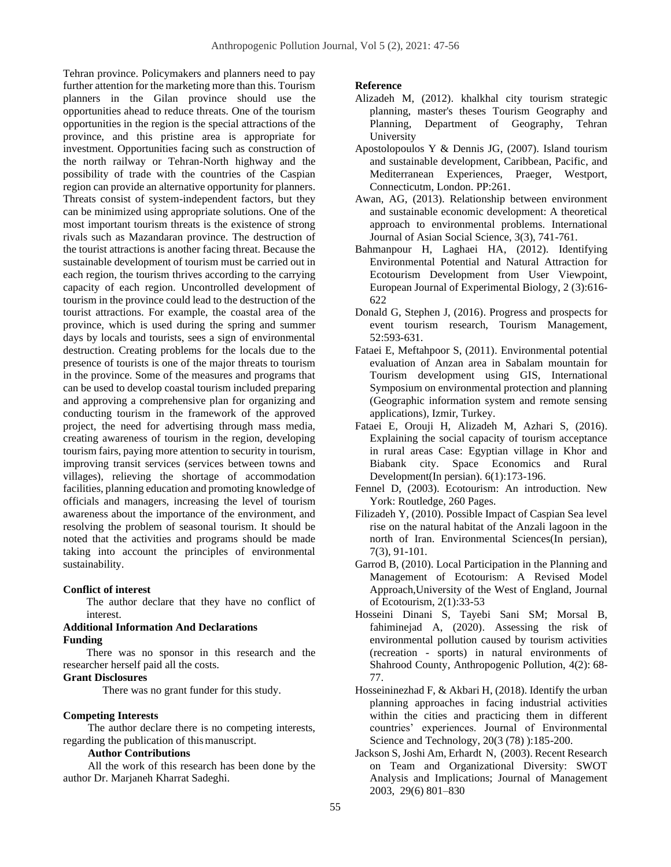Tehran province. Policymakers and planners need to pay further attention for the marketing more than this. Tourism planners in the Gilan province should use the opportunities ahead to reduce threats. One of the tourism opportunities in the region is the special attractions of the province, and this pristine area is appropriate for investment. Opportunities facing such as construction of the north railway or Tehran-North highway and the possibility of trade with the countries of the Caspian region can provide an alternative opportunity for planners. Threats consist of system-independent factors, but they can be minimized using appropriate solutions. One of the most important tourism threats is the existence of strong rivals such as Mazandaran province. The destruction of the tourist attractions is another facing threat. Because the sustainable development of tourism must be carried out in each region, the tourism thrives according to the carrying capacity of each region. Uncontrolled development of tourism in the province could lead to the destruction of the tourist attractions. For example, the coastal area of the province, which is used during the spring and summer days by locals and tourists, sees a sign of environmental destruction. Creating problems for the locals due to the presence of tourists is one of the major threats to tourism in the province. Some of the measures and programs that can be used to develop coastal tourism included preparing and approving a comprehensive plan for organizing and conducting tourism in the framework of the approved project, the need for advertising through mass media, creating awareness of tourism in the region, developing tourism fairs, paying more attention to security in tourism, improving transit services (services between towns and villages), relieving the shortage of accommodation facilities, planning education and promoting knowledge of officials and managers, increasing the level of tourism awareness about the importance of the environment, and resolving the problem of seasonal tourism. It should be noted that the activities and programs should be made taking into account the principles of environmental sustainability.

# **Conflict of interest**

The author declare that they have no conflict of interest.

## **Additional Information And Declarations Funding**

There was no sponsor in this research and the researcher herself paid all the costs.

# **Grant Disclosures**

There was no grant funder for this study.

# **Competing Interests**

The author declare there is no competing interests, regarding the publication of thismanuscript.

# **Author Contributions**

All the work of this research has been done by the author Dr. Marjaneh Kharrat Sadeghi.

# **Reference**

- Alizadeh M, (2012). khalkhal city tourism strategic planning, master's theses Tourism Geography and Planning, Department of Geography, Tehran University
- Apostolopoulos Y & Dennis JG, (2007). Island tourism and sustainable development, Caribbean, Pacific, and Mediterranean Experiences, Praeger, Westport, Connecticutm, London. PP:261.
- Awan, AG, (2013). Relationship between environment and sustainable economic development: A theoretical approach to environmental problems. International Journal of Asian Social Science, 3(3), 741-761.
- Bahmanpour H, Laghaei HA, (2012). Identifying Environmental Potential and Natural Attraction for Ecotourism Development from User Viewpoint, European Journal of Experimental Biology, 2 (3):616- 622
- Donald G, Stephen J, (2016). Progress and prospects for event tourism research, Tourism Management, 52:593-631.
- Fataei E, Meftahpoor S, (2011). Environmental potential evaluation of Anzan area in Sabalam mountain for Tourism development using GIS, International Symposium on environmental protection and planning (Geographic information system and remote sensing applications), Izmir, Turkey.
- Fataei E, Orouji H, Alizadeh M, Azhari S, (2016). Explaining the social capacity of tourism acceptance in rural areas Case: Egyptian village in Khor and Biabank city. Space Economics and Rural Development(In persian). 6(1):173-196.
- Fennel D, (2003). Ecotourism: An introduction. New York: Routledge, 260 Pages.
- Filizadeh Y, (2010). Possible Impact of Caspian Sea level rise on the natural habitat of the Anzali lagoon in the north of Iran. Environmental Sciences(In persian), 7(3), 91-101.
- Garrod B, (2010). Local Participation in the Planning and Management of Ecotourism: A Revised Model Approach,University of the West of England, Journal of Ecotourism, 2(1):33-53
- Hosseini Dinani S, Tayebi Sani SM; Morsal B, fahiminejad A, (2020). [Assessing the risk of](http://ap.iauardabil.ac.ir/article_675859.html)  environmental [pollution caused by tourism activities](http://ap.iauardabil.ac.ir/article_675859.html)  (recreation - [sports\) in natural environments of](http://ap.iauardabil.ac.ir/article_675859.html)  [Shahrood County,](http://ap.iauardabil.ac.ir/article_675859.html) Anthropogenic Pollution, 4(2): 68- 77.
- Hosseininezhad F, & Akbari H, (2018). Identify the urban planning approaches in facing industrial activities within the cities and practicing them in different countries' experiences. Journal of Environmental Science and Technology, 20(3 (78) ):185-200.
- Jackson S, Joshi Am, Erhardt N, (2003). Recent Research on Team and Organizational Diversity: SWOT Analysis and Implications; Journal of Management 2003, 29(6) 801–830